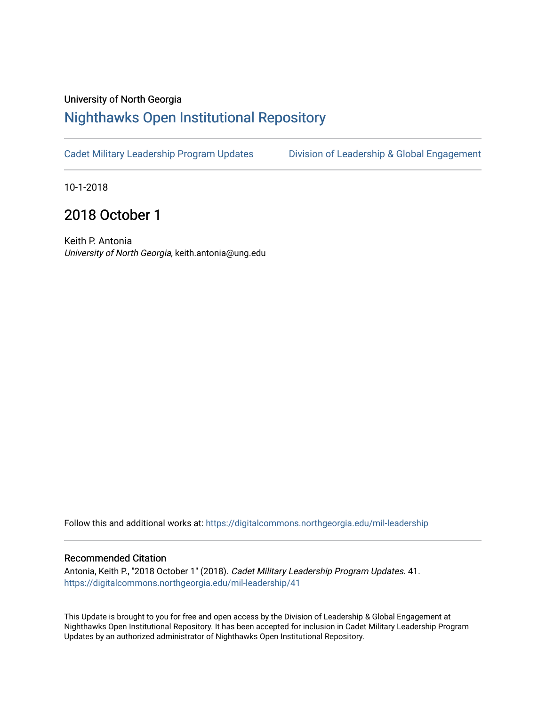## University of North Georgia

## [Nighthawks Open Institutional Repository](https://digitalcommons.northgeorgia.edu/)

[Cadet Military Leadership Program Updates](https://digitalcommons.northgeorgia.edu/mil-leadership) [Division of Leadership & Global Engagement](https://digitalcommons.northgeorgia.edu/leadership) 

10-1-2018

## 2018 October 1

Keith P. Antonia University of North Georgia, keith.antonia@ung.edu

Follow this and additional works at: [https://digitalcommons.northgeorgia.edu/mil-leadership](https://digitalcommons.northgeorgia.edu/mil-leadership?utm_source=digitalcommons.northgeorgia.edu%2Fmil-leadership%2F41&utm_medium=PDF&utm_campaign=PDFCoverPages) 

## Recommended Citation

Antonia, Keith P., "2018 October 1" (2018). Cadet Military Leadership Program Updates. 41. [https://digitalcommons.northgeorgia.edu/mil-leadership/41](https://digitalcommons.northgeorgia.edu/mil-leadership/41?utm_source=digitalcommons.northgeorgia.edu%2Fmil-leadership%2F41&utm_medium=PDF&utm_campaign=PDFCoverPages)

This Update is brought to you for free and open access by the Division of Leadership & Global Engagement at Nighthawks Open Institutional Repository. It has been accepted for inclusion in Cadet Military Leadership Program Updates by an authorized administrator of Nighthawks Open Institutional Repository.